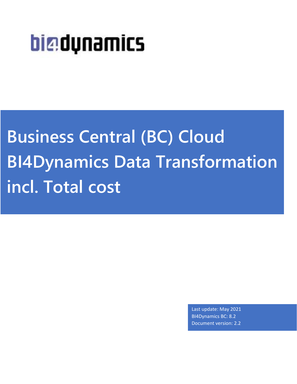# big dunamics

**Business Central (BC) Cloud BI4Dynamics Data Transformation incl. Total cost**

> Last update: May 2021 BI4Dynamics BC: 8.2 Document version: 2.2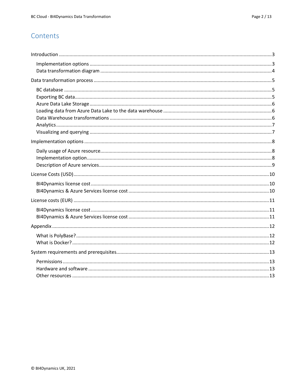# Contents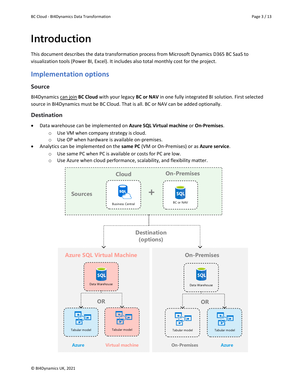# <span id="page-2-0"></span>**Introduction**

This document describes the data transformation process from Microsoft Dynamics D365 BC SaaS to visualization tools (Power BI, Excel). It includes also total monthly cost for the project.

### <span id="page-2-1"></span>**Implementation options**

#### **Source**

BI4Dynamics can join **BC Cloud** with your legacy **BC or NAV** in one fully integrated BI solution. First selected source in BI4Dynamics must be BC Cloud. That is all. BC or NAV can be added optionally.

#### **Destination**

- Data warehouse can be implemented on **Azure SQL Virtual machine** or **On-Premises**.
	- o Use VM when company strategy is cloud.
	- o Use OP when hardware is available on-premises.
- Analytics can be implemented on the **same PC** (VM or On-Premises) or as **Azure service**.
	- o Use same PC when PC is available or costs for PC are low.
	- o Use Azure when cloud performance, scalability, and flexibility matter.

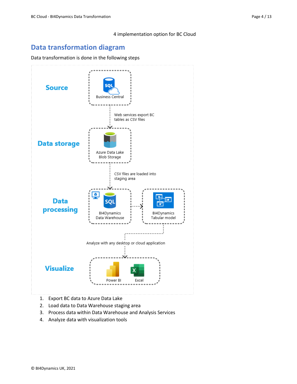# <span id="page-3-0"></span>**Data transformation diagram**

#### Data transformation is done in the following steps



- 1. Export BC data to Azure Data Lake
- 2. Load data to Data Warehouse staging area
- 3. Process data within Data Warehouse and Analysis Services
- 4. Analyze data with visualization tools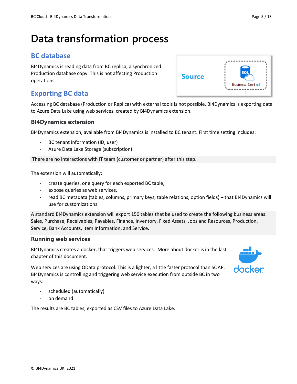# <span id="page-4-0"></span>**Data transformation process**

# <span id="page-4-1"></span>**BC database**

BI4Dynamics is reading data from BC replica, a synchronized Production database copy. This is not affecting Production operations.

# <span id="page-4-2"></span>**Exporting BC data**

Accessing BC database (Production or Replica) with external tools is not possible. BI4Dynamics is exporting data to Azure Data Lake using web services, created by BI4Dynamics extension.

Source

#### **BI4Dynamics extension**

BI4Dynamics extension, available from BI4Dynamics is installed to BC tenant. First time setting includes:

- BC tenant information (ID, user)
- Azure Data Lake Storage (subscription)

There are no interactions with IT team (customer or partner) after this step.

The extension will automatically:

- create queries, one query for each exported BC table,
- expose queries as web services,
- read BC metadata (tables, columns, primary keys, table relations, option fields) that BI4Dynamics will use for customizations.

A standard BI4Dynamics extension will export 150 tables that be used to create the following business areas: Sales, Purchase, Receivables, Payables, Finance, Inventory, Fixed Assets, Jobs and Resources, Production, Service, Bank Accounts, Item Information, and Service.

#### **Running web services**

BI4Dynamics creates a docker, that triggers web services. More about docker is in the last chapter of this document.

Web services are using OData protocol. This is a lighter, a little faster protocol than SOAP. BI4Dynamics is controlling and triggering web service execution from outside BC in two ways:

- scheduled (automatically)
- on demand

The results are BC tables, exported as CSV files to Azure Data Lake.



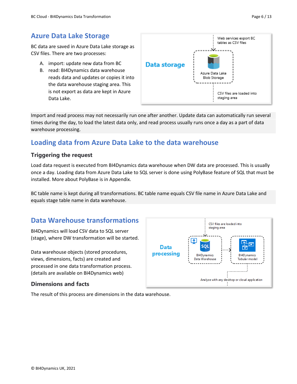# <span id="page-5-0"></span>**Azure Data Lake Storage**

BC data are saved in Azure Data Lake storage as CSV files. There are two processes:

- A. import: update new data from BC
- B. read: BI4Dynamics data warehouse reads data and updates or copies it into the data warehouse staging area. This is not export as data are kept in Azure Data Lake.



Import and read process may not necessarily run one after another. Update data can automatically run several times during the day, to load the latest data only, and read process usually runs once a day as a part of data warehouse processing.

# <span id="page-5-1"></span>**Loading data from Azure Data Lake to the data warehouse**

#### **Triggering the request**

Load data request is executed from BI4Dynamics data warehouse when DW data are processed. This is usually once a day. Loading data from Azure Data Lake to SQL server is done using PolyBase feature of SQL that must be installed. More about PolyBase is in Appendix.

BC table name is kept during all transformations. BC table name equals CSV file name in Azure Data Lake and equals stage table name in data warehouse.

# <span id="page-5-2"></span>**Data Warehouse transformations**

BI4Dynamics will load CSV data to SQL server (stage), where DW transformation will be started.

Data warehouse objects (stored procedures, views, dimensions, facts) are created and processed in one data transformation process. (details are available on BI4Dynamics web)

#### **Dimensions and facts**



The result of this process are dimensions in the data warehouse.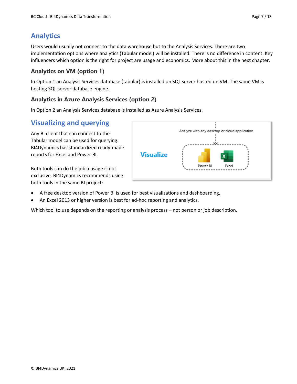# <span id="page-6-0"></span>**Analytics**

Users would usually not connect to the data warehouse but to the Analysis Services. There are two implementation options where analytics (Tabular model) will be installed. There is no difference in content. Key influencers which option is the right for project are usage and economics. More about this in the next chapter.

#### **Analytics on VM (option 1)**

In Option 1 an Analysis Services database (tabular) is installed on SQL server hosted on VM. The same VM is hosting SQL server database engine.

#### **Analytics in Azure Analysis Services (option 2)**

In Option 2 an Analysis Services database is installed as Azure Analysis Services.

# <span id="page-6-1"></span>**Visualizing and querying**

Any BI client that can connect to the Tabular model can be used for querying. BI4Dynamics has standardized ready-made reports for Excel and Power BI.

Both tools can do the job a usage is not exclusive. BI4Dynamics recommends using both tools in the same BI project:

- Analyze with any desktop or cloud application **Visualize** Power BI Excel
- A free desktop version of Power BI is used for best visualizations and dashboarding,
- An Excel 2013 or higher version is best for ad-hoc reporting and analytics.

Which tool to use depends on the reporting or analysis process – not person or job description.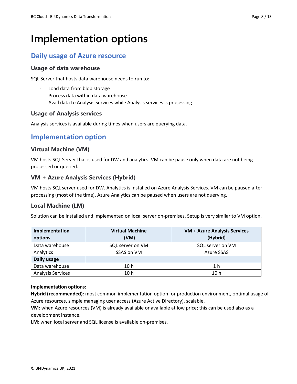# <span id="page-7-0"></span>**Implementation options**

# <span id="page-7-1"></span>**Daily usage of Azure resource**

#### **Usage of data warehouse**

SQL Server that hosts data warehouse needs to run to:

- Load data from blob storage
- Process data within data warehouse
- Avail data to Analysis Services while Analysis services is processing

#### **Usage of Analysis services**

Analysis services is available during times when users are querying data.

### <span id="page-7-2"></span>**Implementation option**

#### **Virtual Machine (VM)**

VM hosts SQL Server that is used for DW and analytics. VM can be pause only when data are not being processed or queried.

#### **VM + Azure Analysis Services (Hybrid)**

VM hosts SQL server used for DW. Analytics is installed on Azure Analysis Services. VM can be paused after processing (most of the time), Azure Analytics can be paused when users are not querying.

#### **Local Machine (LM)**

Solution can be installed and implemented on local server on-premises. Setup is very similar to VM option.

| Implementation<br>options | <b>Virtual Machine</b><br>(VM) | <b>VM + Azure Analysis Services</b><br>(Hybrid) |
|---------------------------|--------------------------------|-------------------------------------------------|
| Data warehouse            | SQL server on VM               | SQL server on VM                                |
| Analytics                 | SSAS on VM                     | <b>Azure SSAS</b>                               |
| Daily usage               |                                |                                                 |
| Data warehouse            | 10 h                           | 1 h                                             |
| <b>Analysis Services</b>  | 10 h                           | 10 <sub>h</sub>                                 |

#### **Implementation options:**

**Hybrid (recommended)**: most common implementation option for production environment, optimal usage of Azure resources, simple managing user access (Azure Active Directory), scalable.

**VM**: when Azure resources (VM) is already available or available at low price; this can be used also as a development instance.

**LM**: when local server and SQL license is available on-premises.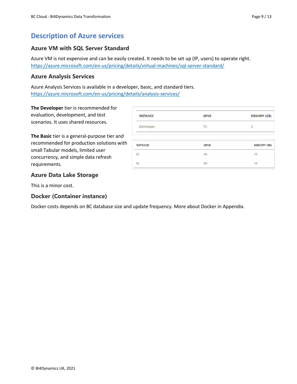# <span id="page-8-0"></span>**Description of Azure services**

#### **Azure VM with SQL Server Standard**

Azure VM is not expensive and can be easily created. It needs to be set up (IP, users) to operate right. <https://azure.microsoft.com/en-us/pricing/details/virtual-machines/sql-server-standard/>

#### **Azure Analysis Services**

Azure Analysis Services is available in a developer, basic, and standard tiers. <https://azure.microsoft.com/en-us/pricing/details/analysis-services/>

**The Developer** tier is recommended for evaluation, development, and test scenarios. It uses shared resources.

**The Basic** tier is a general-purpose tier and recommended for production solutions with small Tabular models, limited user concurrency, and simple data refresh requirements.

| <b>INSTANCE</b> | <b>QPUS</b> | <b>MEMORY (GB)</b> |
|-----------------|-------------|--------------------|
| Developer       | 10          | 3                  |
| <b>INSTANCE</b> | <b>OPUS</b> | <b>MEMORY (GB)</b> |
| <b>B1</b>       | 40          | 10                 |
| <b>B2</b>       | 80          | 16                 |
|                 |             |                    |

#### **Azure Data Lake Storage**

This is a minor cost.

#### **Docker (Container instance)**

Docker costs depends on BC database size and update frequency. More about Docker in Appendix.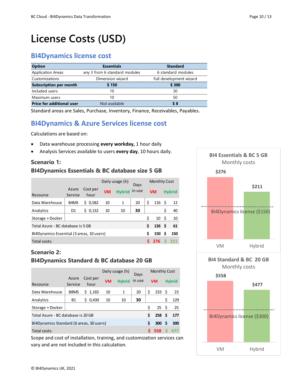# <span id="page-9-0"></span>**License Costs (USD)**

### <span id="page-9-1"></span>**BI4Dynamics license cost**

| <b>Option</b>                    | <b>Essentials</b>             | <b>Standard</b>         |
|----------------------------------|-------------------------------|-------------------------|
| <b>Application Areas</b>         | any 3 from 6 standard modules | 6 standard modules      |
| Customizations                   | Dimension wizard              | Full development wizard |
| <b>Subscription per month</b>    | 150                           | S 300                   |
| Included users                   |                               |                         |
| Maximum users                    |                               |                         |
| <b>Price for additional user</b> | Not available                 |                         |

Standard areas are Sales, Purchase, Inventory, Finance, Receivables, Payables.

# <span id="page-9-2"></span>**BI4Dynamics & Azure Services license cost**

Calculations are based on:

- Data warehouse processing **every workday,** 1 hour daily
- Analysis Services available to users **every day**, 10 hours daily.

#### **Scenario 1: BI4Dynamics Essentials & BC database size 5 GB**

|                                           |                  |                  | Daily usage (h) |               | Days   |    |                  | <b>Monthly Cost</b> |               |
|-------------------------------------------|------------------|------------------|-----------------|---------------|--------|----|------------------|---------------------|---------------|
| Resource                                  | Azure<br>Service | Cost per<br>hour | <b>VM</b>       | <b>Hybrid</b> | in use |    | <b>VM</b>        |                     | <b>Hybrid</b> |
| Data Warehouse                            | B4MS             | \$0,582          | 10              | 1             | 20     | \$ | 116 <sup>5</sup> |                     | 12            |
| Analytics                                 | D1               | \$0,132          | 10              | 10            | 30     |    |                  | Ś                   | 40            |
| Storage + Docker                          |                  |                  |                 |               |        | ς. | 10               | - Ś                 | 10            |
| Total Azure - BC database is 5 GB         |                  |                  |                 |               |        |    | 126              | - Ś                 | 61            |
| BI4Dynamics Essential (3 areas, 10 users) |                  |                  |                 |               |        |    | 150              | Ś                   | 150           |
| Total costs:                              |                  |                  |                 |               |        |    | 276              |                     |               |

### **Scenario 2: BI4Dynamics Standard & BC database 20 GB**

|                                          |                  |                  | Daily usage (h) |               | Davs   |   |                  | Monthly Cost |               |
|------------------------------------------|------------------|------------------|-----------------|---------------|--------|---|------------------|--------------|---------------|
| Resource                                 | Azure<br>Service | Cost per<br>hour | <b>VM</b>       | <b>Hybrid</b> | in use |   | <b>VM</b>        |              | <b>Hybrid</b> |
| Data Warehouse                           | B8MS             | \$1,165          | 10              | $\mathbf{1}$  | 20     | Ś | 233              | - \$         | - 23          |
| Analytics                                | <b>B1</b>        | \$0,430          | 10              | 10            | 30     |   |                  | \$           | 129           |
| Storage + Docker                         |                  |                  |                 |               |        | ς | $25 \quad S$     |              | -25           |
| Total Azure - BC database is 20 GB       |                  |                  |                 |               |        |   | 258 <sup>5</sup> |              | 177           |
| BI4Dynamics Standard (6 areas, 30 users) |                  |                  |                 |               |        |   | 300              | S            | 300           |
| Total costs:                             |                  |                  |                 |               |        |   | 558              |              |               |

Scope and cost of installation, training, and customization services can vary and are not included in this calculation.



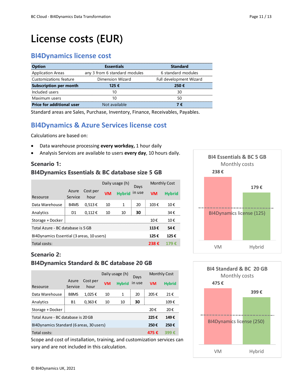# <span id="page-10-0"></span>**License costs (EUR)**

# <span id="page-10-1"></span>**BI4Dynamics license cost**

| <b>Option</b>                    | <b>Fssentials</b>             | Standard                |
|----------------------------------|-------------------------------|-------------------------|
| <b>Application Areas</b>         | any 3 from 6 standard modules | 6 standard modules      |
| Customizations feature           | Dimension Wizard              | Full development Wizard |
| <b>Subscription per month</b>    | 125 €                         | 250€                    |
| Included users                   |                               |                         |
| Maximum users                    |                               |                         |
| <b>Price for additional user</b> | Not available                 |                         |

Standard areas are Sales, Purchase, Inventory, Finance, Receivables, Payables.

# <span id="page-10-2"></span>**BI4Dynamics & Azure Services license cost**

Calculations are based on:

- Data warehouse processing **every workday,** 1 hour daily
- Analysis Services are available to users **every day**, 10 hours daily.

#### **Scenario 1: BI4Dynamics Essentials & BC database size 5 GB**

|                                           |                               |                  | Daily usage (h) |               | Days   | <b>Monthly Cost</b> |               |
|-------------------------------------------|-------------------------------|------------------|-----------------|---------------|--------|---------------------|---------------|
| Resource                                  | Azure<br>Service              | Cost per<br>hour | <b>VM</b>       | <b>Hybrid</b> | in use | <b>VM</b>           | <b>Hybrid</b> |
| Data Warehouse                            | B <sub>4</sub> M <sub>S</sub> | $0,513 \in$      | 10              | 1             | 20     | 103€                | 10€           |
| Analytics                                 | D1                            | $0,112 \in$      | 10              | 10            | 30     |                     | 34€           |
| Storage + Docker                          |                               |                  |                 |               |        | 10€                 | 10€           |
| Total Azure - BC database is 5 GB         |                               |                  |                 |               |        | 113€                | 54€           |
| BI4Dynamics Essential (3 areas, 10 users) |                               |                  |                 |               |        | 125€                | 125€          |
| Total costs:                              |                               |                  |                 |               |        | 238€                | 179 €         |



# **475 € 399 €** VM Hybrid **BI4 Standard & BC 20 GB** Monthly costs BI4Dynamics license (250)

#### **Scenario 2:**

#### **BI4Dynamics Standard & BC database 20 GB**

|                                          |                  |                  | Daily usage (h) |               |        |           | Days          |  |  |  | <b>Monthly Cost</b> |  |  |
|------------------------------------------|------------------|------------------|-----------------|---------------|--------|-----------|---------------|--|--|--|---------------------|--|--|
| Resource                                 | Azure<br>Service | Cost per<br>hour | <b>VM</b>       | <b>Hybrid</b> | in use | <b>VM</b> | <b>Hybrid</b> |  |  |  |                     |  |  |
| Data Warehouse                           | B8MS             | 1,025€           | 10              | 1             | 20     | 205€      | 21€           |  |  |  |                     |  |  |
| Analytics                                | <b>B1</b>        | $0,363 \in$      | 10              | 10            | 30     |           | 109€          |  |  |  |                     |  |  |
| Storage + Docker                         |                  |                  |                 |               |        | 20€       | 20€           |  |  |  |                     |  |  |
| Total Azure - BC database is 20 GB       |                  |                  |                 |               |        |           | 149€          |  |  |  |                     |  |  |
| BI4Dynamics Standard (6 areas, 30 users) |                  |                  |                 |               |        |           | 250€          |  |  |  |                     |  |  |
| Total costs:                             |                  |                  |                 |               |        | 475€      | 399 €         |  |  |  |                     |  |  |

Scope and cost of installation, training, and customization services can vary and are not included in this calculation.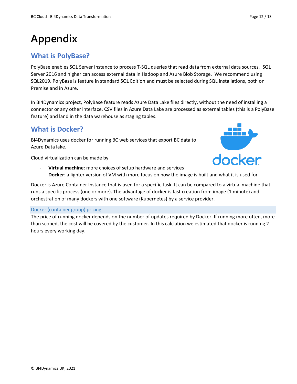# <span id="page-11-0"></span>**Appendix**

# <span id="page-11-1"></span>**What is PolyBase?**

PolyBase enables SQL Server instance to process T-SQL queries that read data from external data sources. SQL Server 2016 and higher can access external data in Hadoop and Azure Blob Storage. We recommend using SQL2019. PolyBase is feature in standard SQL Edition and must be selected during SQL installations, both on Premise and in Azure.

In BI4Dynamics project, PolyBase feature reads Azure Data Lake files directly, without the need of installing a connector or any other interface. CSV files in Azure Data Lake are processed as external tables (this is a PolyBase feature) and land in the data warehouse as staging tables.

# <span id="page-11-2"></span>**What is Docker?**

BI4Dynamics uses docker for running BC web services that export BC data to Azure Data lake.

Cloud virtualization can be made by

- Virtual machine: more choices of setup hardware and services
- **Docker**: a lighter version of VM with more focus on how the image is built and what it is used for

Docker is Azure Container Instance that is used for a specific task. It can be compared to a virtual machine that runs a specific process (one or more). The advantage of docker is fast creation from image (1 minute) and orchestration of many dockers with one software (Kubernetes) by a service provider.

#### Docker (container group) pricing

The price of running docker depends on the number of updates required by Docker. If running more often, more than scoped, the cost will be covered by the customer. In this calclation we estimated that docker is running 2 hours every working day.